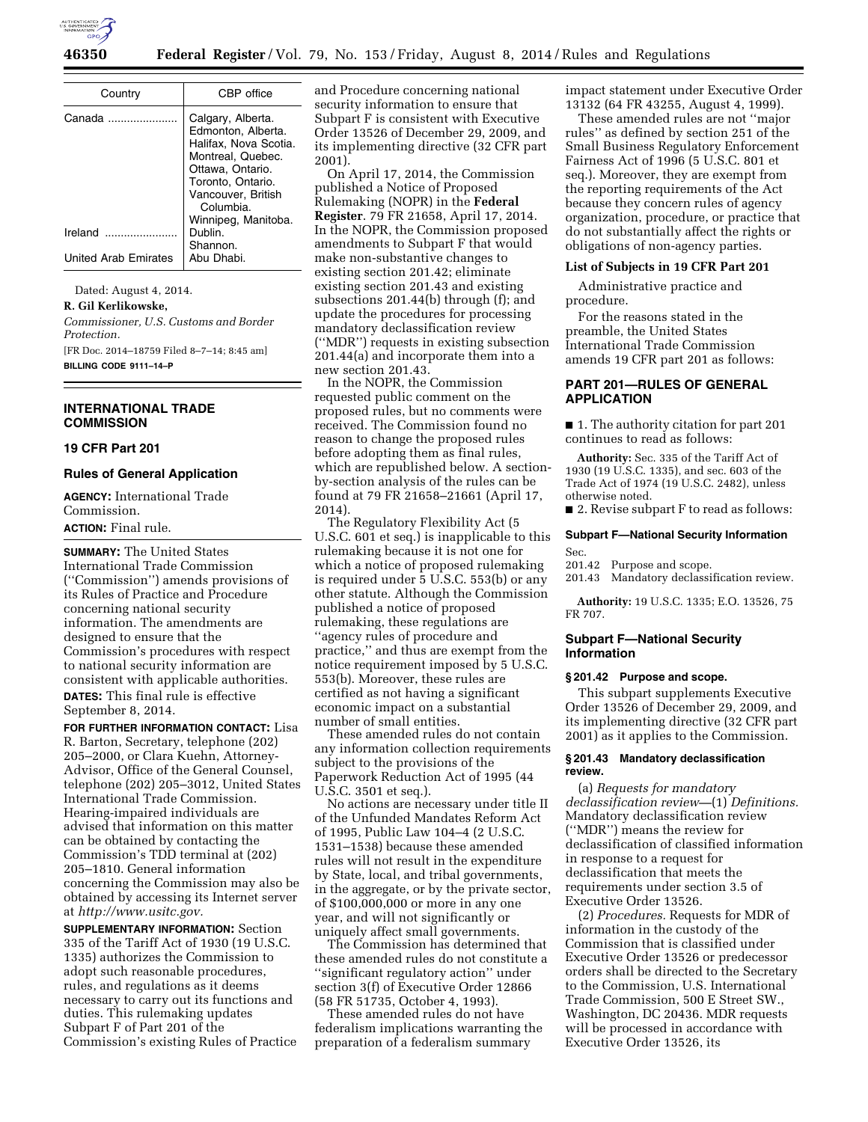

| Country                     | CBP office                                                                                                                                                        |
|-----------------------------|-------------------------------------------------------------------------------------------------------------------------------------------------------------------|
| Canada                      | Calgary, Alberta.<br>Edmonton, Alberta.<br>Halifax, Nova Scotia.<br>Montreal, Quebec.<br>Ottawa, Ontario.<br>Toronto, Ontario.<br>Vancouver, British<br>Columbia. |
| Ireland                     | Winnipeg, Manitoba.<br>Dublin.<br>Shannon.                                                                                                                        |
| <b>United Arab Emirates</b> | Abu Dhabi.                                                                                                                                                        |

Dated: August 4, 2014.

**R. Gil Kerlikowske,** 

*Commissioner, U.S. Customs and Border Protection.* 

[FR Doc. 2014–18759 Filed 8–7–14; 8:45 am] **BILLING CODE 9111–14–P** 

## **INTERNATIONAL TRADE COMMISSION**

## **19 CFR Part 201**

## **Rules of General Application**

**AGENCY:** International Trade Commission. **ACTION:** Final rule.

**SUMMARY:** The United States International Trade Commission (''Commission'') amends provisions of its Rules of Practice and Procedure concerning national security information. The amendments are designed to ensure that the Commission's procedures with respect to national security information are consistent with applicable authorities. **DATES:** This final rule is effective September 8, 2014.

**FOR FURTHER INFORMATION CONTACT:** Lisa R. Barton, Secretary, telephone (202) 205–2000, or Clara Kuehn, Attorney-Advisor, Office of the General Counsel, telephone (202) 205–3012, United States International Trade Commission. Hearing-impaired individuals are advised that information on this matter can be obtained by contacting the Commission's TDD terminal at (202) 205–1810. General information concerning the Commission may also be obtained by accessing its Internet server at *[http://www.usitc.gov.](http://www.usitc.gov)* 

**SUPPLEMENTARY INFORMATION:** Section 335 of the Tariff Act of 1930 (19 U.S.C. 1335) authorizes the Commission to adopt such reasonable procedures, rules, and regulations as it deems necessary to carry out its functions and duties. This rulemaking updates Subpart F of Part 201 of the Commission's existing Rules of Practice and Procedure concerning national security information to ensure that Subpart F is consistent with Executive Order 13526 of December 29, 2009, and its implementing directive (32 CFR part 2001).

On April 17, 2014, the Commission published a Notice of Proposed Rulemaking (NOPR) in the **Federal Register**. 79 FR 21658, April 17, 2014. In the NOPR, the Commission proposed amendments to Subpart F that would make non-substantive changes to existing section 201.42; eliminate existing section 201.43 and existing subsections 201.44(b) through (f); and update the procedures for processing mandatory declassification review (''MDR'') requests in existing subsection 201.44(a) and incorporate them into a new section 201.43.

In the NOPR, the Commission requested public comment on the proposed rules, but no comments were received. The Commission found no reason to change the proposed rules before adopting them as final rules, which are republished below. A sectionby-section analysis of the rules can be found at 79 FR 21658–21661 (April 17, 2014).

The Regulatory Flexibility Act (5 U.S.C. 601 et seq.) is inapplicable to this rulemaking because it is not one for which a notice of proposed rulemaking is required under 5 U.S.C. 553(b) or any other statute. Although the Commission published a notice of proposed rulemaking, these regulations are ''agency rules of procedure and practice,'' and thus are exempt from the notice requirement imposed by 5 U.S.C. 553(b). Moreover, these rules are certified as not having a significant economic impact on a substantial number of small entities.

These amended rules do not contain any information collection requirements subject to the provisions of the Paperwork Reduction Act of 1995 (44 U.S.C. 3501 et seq.).

No actions are necessary under title II of the Unfunded Mandates Reform Act of 1995, Public Law 104–4 (2 U.S.C. 1531–1538) because these amended rules will not result in the expenditure by State, local, and tribal governments, in the aggregate, or by the private sector, of \$100,000,000 or more in any one year, and will not significantly or uniquely affect small governments.

The Commission has determined that these amended rules do not constitute a ''significant regulatory action'' under section 3(f) of Executive Order 12866 (58 FR 51735, October 4, 1993).

These amended rules do not have federalism implications warranting the preparation of a federalism summary

impact statement under Executive Order 13132 (64 FR 43255, August 4, 1999).

These amended rules are not ''major rules'' as defined by section 251 of the Small Business Regulatory Enforcement Fairness Act of 1996 (5 U.S.C. 801 et seq.). Moreover, they are exempt from the reporting requirements of the Act because they concern rules of agency organization, procedure, or practice that do not substantially affect the rights or obligations of non-agency parties.

#### **List of Subjects in 19 CFR Part 201**

Administrative practice and procedure.

For the reasons stated in the preamble, the United States International Trade Commission amends 19 CFR part 201 as follows:

## **PART 201—RULES OF GENERAL APPLICATION**

■ 1. The authority citation for part 201 continues to read as follows:

**Authority:** Sec. 335 of the Tariff Act of 1930 (19 U.S.C. 1335), and sec. 603 of the Trade Act of 1974 (19 U.S.C. 2482), unless otherwise noted.

■ 2. Revise subpart F to read as follows:

## **Subpart F—National Security Information**  Sec.

201.42 Purpose and scope.

201.43 Mandatory declassification review.

**Authority:** 19 U.S.C. 1335; E.O. 13526, 75 FR 707.

## **Subpart F—National Security Information**

### **§ 201.42 Purpose and scope.**

This subpart supplements Executive Order 13526 of December 29, 2009, and its implementing directive (32 CFR part 2001) as it applies to the Commission.

## **§ 201.43 Mandatory declassification review.**

(a) *Requests for mandatory declassification review—*(1) *Definitions.*  Mandatory declassification review (''MDR'') means the review for declassification of classified information in response to a request for declassification that meets the requirements under section 3.5 of Executive Order 13526.

(2) *Procedures.* Requests for MDR of information in the custody of the Commission that is classified under Executive Order 13526 or predecessor orders shall be directed to the Secretary to the Commission, U.S. International Trade Commission, 500 E Street SW., Washington, DC 20436. MDR requests will be processed in accordance with Executive Order 13526, its